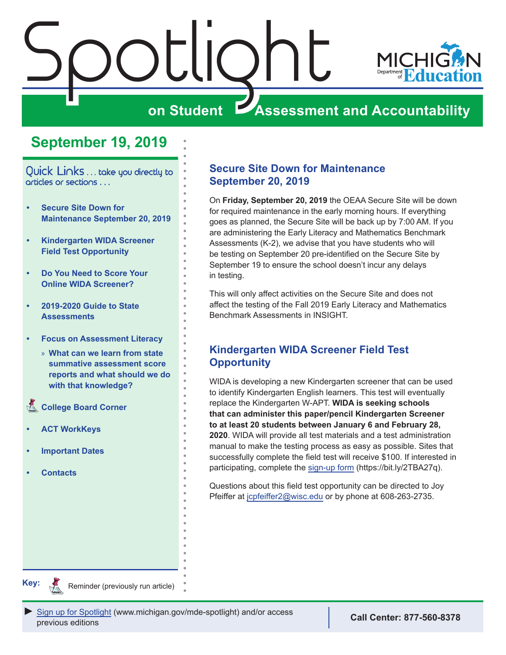<span id="page-0-0"></span>



# **on Student Assessment and Accountability**

# **September 19, 2019**

Quick Links . . . take you directly to articles or sections . . .

- **• Secure Site Down for Maintenance September 20, 2019**
- **• Kindergarten WIDA Screener Field Test Opportunity**
- **• [Do You Need to Score Your](#page-1-0)  [Online WIDA Screener?](#page-1-0)**
- **• [2019-2020 Guide to State](#page-1-0)  [Assessments](#page-1-0)**
- **• [Focus on Assessment Literacy](#page-2-0)**
	- » **[What can we learn from state](#page-2-0)  [summative assessment score](#page-2-0)  [reports and what should we do](#page-2-0)  [with that knowledge?](#page-2-0)**
- **College Board Corner**
- **• [ACT WorkKeys](#page-6-0)**
- **• [Important Dates](#page-7-0)**
- **• [Contacts](#page-9-0)**

## **Secure Site Down for Maintenance September 20, 2019**

On **Friday, September 20, 2019** the OEAA Secure Site will be down for required maintenance in the early morning hours. If everything goes as planned, the Secure Site will be back up by 7:00 AM. If you are administering the Early Literacy and Mathematics Benchmark Assessments (K-2), we advise that you have students who will be testing on September 20 pre-identified on the Secure Site by September 19 to ensure the school doesn't incur any delays in testing.

This will only affect activities on the Secure Site and does not affect the testing of the Fall 2019 Early Literacy and Mathematics Benchmark Assessments in INSIGHT.

## **Kindergarten WIDA Screener Field Test Opportunity**

WIDA is developing a new Kindergarten screener that can be used to identify Kindergarten English learners. This test will eventually replace the Kindergarten W-APT. **WIDA is seeking schools that can administer this paper/pencil Kindergarten Screener to at least 20 students between January 6 and February 28, 2020**. WIDA will provide all test materials and a test administration manual to make the testing process as easy as possible. Sites that successfully complete the field test will receive \$100. If interested in participating, complete the [sign-up form](https://bit.ly/2TBA27q) (https://bit.ly/2TBA27q).

Questions about this field test opportunity can be directed to Joy Pfeiffer at [jcpfeiffer2@wisc.edu](mailto:jcpfeiffer2%40wisc.edu?subject=Kindergarten%20WIDA%20Screener%20Field%20Test) or by phone at 608-263-2735.

**Key:**

Reminders

Reminder (previously run article)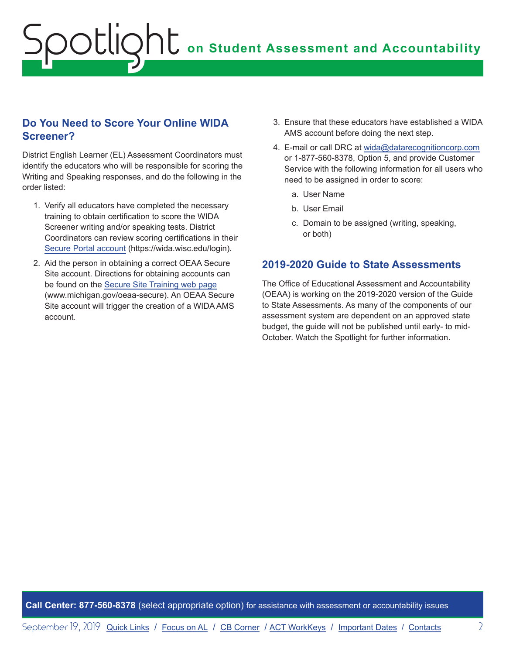## <span id="page-1-0"></span>**Do You Need to Score Your Online WIDA Screener?**

District English Learner (EL) Assessment Coordinators must identify the educators who will be responsible for scoring the Writing and Speaking responses, and do the following in the order listed:

- 1. Verify all educators have completed the necessary training to obtain certification to score the WIDA Screener writing and/or speaking tests. District Coordinators can review scoring certifications in their [Secure Portal account](https://wida.wisc.edu/login) (https://wida.wisc.edu/login).
- 2. Aid the person in obtaining a correct OEAA Secure Site account. Directions for obtaining accounts can be found on the [Secure Site Training web page](http://www.michigan.gov/securesitetraining) (www.michigan.gov/oeaa-secure). An OEAA Secure Site account will trigger the creation of a WIDA AMS account.
- 3. Ensure that these educators have established a WIDA AMS account before doing the next step.
- 4. E-mail or call DRC at [wida@datarecognitioncorp.com](mailto:wida%40datarecognitioncorp.com?subject=) or 1-877-560-8378, Option 5, and provide Customer Service with the following information for all users who need to be assigned in order to score:
	- a. User Name
	- b. User Email
	- c. Domain to be assigned (writing, speaking, or both)

## **2019-2020 Guide to State Assessments**

The Office of Educational Assessment and Accountability (OEAA) is working on the 2019-2020 version of the Guide to State Assessments. As many of the components of our assessment system are dependent on an approved state budget, the guide will not be published until early- to mid-October. Watch the Spotlight for further information.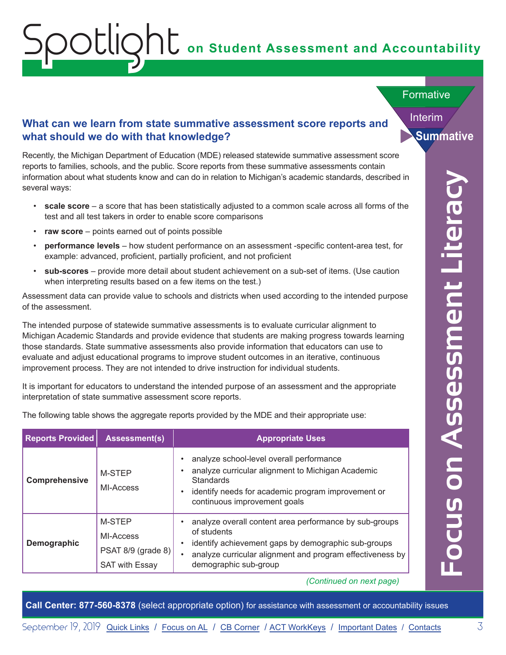# **on Student Assessment and Accountability**

Formative

Interim

**Summative**

## **What can we learn from state summative assessment score reports and what should we do with that knowledge?**

Recently, the Michigan Department of Education (MDE) released statewide summative assessment score reports to families, schools, and the public. Score reports from these summative assessments contain information about what students know and can do in relation to Michigan's academic standards, described in several ways:

- **scale score** a score that has been statistically adjusted to a common scale across all forms of the test and all test takers in order to enable score comparisons
- **raw score** points earned out of points possible

<span id="page-2-0"></span>Spotlight

- **performance levels** how student performance on an assessment -specific content-area test, for example: advanced, proficient, partially proficient, and not proficient
- **sub-scores** provide more detail about student achievement on a sub-set of items. (Use caution when interpreting results based on a few items on the test.)

| scale score $-$ a score that has been statistically adjusted to a common scale across all forms of the<br>test and all test takers in order to enable score comparisons<br>raw score – points earned out of points possible<br>performance levels - how student performance on an assessment -specific content-area test, for<br>example: advanced, proficient, partially proficient, and not proficient<br>sub-scores - provide more detail about student achievement on a sub-set of items. (Use caution<br>when interpreting results based on a few items on the test.)<br>Assessment data can provide value to schools and districts when used according to the intended purpose<br>of the assessment.<br>The intended purpose of statewide summative assessments is to evaluate curricular alignment to<br>Michigan Academic Standards and provide evidence that students are making progress towards learning<br>those standards. State summative assessments also provide information that educators can use to<br>evaluate and adjust educational programs to improve student outcomes in an iterative, continuous<br>improvement process. They are not intended to drive instruction for individual students.<br>It is important for educators to understand the intended purpose of an assessment and the appropriate<br>interpretation of state summative assessment score reports.<br>The following table shows the aggregate reports provided by the MDE and their appropriate use:<br><b>Reports Provided</b><br><b>Assessment(s)</b><br><b>Appropriate Uses</b><br>analyze school-level overall performance<br>analyze curricular alignment to Michigan Academic<br>M-STEP<br>Comprehensive<br><b>Standards</b><br>MI-Access<br>identify needs for academic program improvement or<br>continuous improvement goals<br>M-STEP<br>analyze overall content area performance by sub-groups<br>of students<br>MI-Access<br>identify achievement gaps by demographic sub-groups<br>Demographic<br>PSAT 8/9 (grade 8) | <b>Intere</b><br>analyze curricular alignment and program effectiveness by<br>demographic sub-group<br><b>SAT with Essay</b><br>(Continued on next page) | several ways: | information about what students know and can do in relation to Michigan's academic standards, described in |
|-------------------------------------------------------------------------------------------------------------------------------------------------------------------------------------------------------------------------------------------------------------------------------------------------------------------------------------------------------------------------------------------------------------------------------------------------------------------------------------------------------------------------------------------------------------------------------------------------------------------------------------------------------------------------------------------------------------------------------------------------------------------------------------------------------------------------------------------------------------------------------------------------------------------------------------------------------------------------------------------------------------------------------------------------------------------------------------------------------------------------------------------------------------------------------------------------------------------------------------------------------------------------------------------------------------------------------------------------------------------------------------------------------------------------------------------------------------------------------------------------------------------------------------------------------------------------------------------------------------------------------------------------------------------------------------------------------------------------------------------------------------------------------------------------------------------------------------------------------------------------------------------------------------------------------------------------------------------------------------------------------------------------------|----------------------------------------------------------------------------------------------------------------------------------------------------------|---------------|------------------------------------------------------------------------------------------------------------|
|                                                                                                                                                                                                                                                                                                                                                                                                                                                                                                                                                                                                                                                                                                                                                                                                                                                                                                                                                                                                                                                                                                                                                                                                                                                                                                                                                                                                                                                                                                                                                                                                                                                                                                                                                                                                                                                                                                                                                                                                                               | Assessment<br>OO<br><b>SIND</b>                                                                                                                          |               |                                                                                                            |
|                                                                                                                                                                                                                                                                                                                                                                                                                                                                                                                                                                                                                                                                                                                                                                                                                                                                                                                                                                                                                                                                                                                                                                                                                                                                                                                                                                                                                                                                                                                                                                                                                                                                                                                                                                                                                                                                                                                                                                                                                               |                                                                                                                                                          |               |                                                                                                            |
|                                                                                                                                                                                                                                                                                                                                                                                                                                                                                                                                                                                                                                                                                                                                                                                                                                                                                                                                                                                                                                                                                                                                                                                                                                                                                                                                                                                                                                                                                                                                                                                                                                                                                                                                                                                                                                                                                                                                                                                                                               |                                                                                                                                                          |               |                                                                                                            |
|                                                                                                                                                                                                                                                                                                                                                                                                                                                                                                                                                                                                                                                                                                                                                                                                                                                                                                                                                                                                                                                                                                                                                                                                                                                                                                                                                                                                                                                                                                                                                                                                                                                                                                                                                                                                                                                                                                                                                                                                                               |                                                                                                                                                          |               |                                                                                                            |
|                                                                                                                                                                                                                                                                                                                                                                                                                                                                                                                                                                                                                                                                                                                                                                                                                                                                                                                                                                                                                                                                                                                                                                                                                                                                                                                                                                                                                                                                                                                                                                                                                                                                                                                                                                                                                                                                                                                                                                                                                               |                                                                                                                                                          |               |                                                                                                            |
|                                                                                                                                                                                                                                                                                                                                                                                                                                                                                                                                                                                                                                                                                                                                                                                                                                                                                                                                                                                                                                                                                                                                                                                                                                                                                                                                                                                                                                                                                                                                                                                                                                                                                                                                                                                                                                                                                                                                                                                                                               |                                                                                                                                                          |               |                                                                                                            |
|                                                                                                                                                                                                                                                                                                                                                                                                                                                                                                                                                                                                                                                                                                                                                                                                                                                                                                                                                                                                                                                                                                                                                                                                                                                                                                                                                                                                                                                                                                                                                                                                                                                                                                                                                                                                                                                                                                                                                                                                                               |                                                                                                                                                          |               |                                                                                                            |
|                                                                                                                                                                                                                                                                                                                                                                                                                                                                                                                                                                                                                                                                                                                                                                                                                                                                                                                                                                                                                                                                                                                                                                                                                                                                                                                                                                                                                                                                                                                                                                                                                                                                                                                                                                                                                                                                                                                                                                                                                               |                                                                                                                                                          |               |                                                                                                            |
|                                                                                                                                                                                                                                                                                                                                                                                                                                                                                                                                                                                                                                                                                                                                                                                                                                                                                                                                                                                                                                                                                                                                                                                                                                                                                                                                                                                                                                                                                                                                                                                                                                                                                                                                                                                                                                                                                                                                                                                                                               |                                                                                                                                                          |               |                                                                                                            |
|                                                                                                                                                                                                                                                                                                                                                                                                                                                                                                                                                                                                                                                                                                                                                                                                                                                                                                                                                                                                                                                                                                                                                                                                                                                                                                                                                                                                                                                                                                                                                                                                                                                                                                                                                                                                                                                                                                                                                                                                                               |                                                                                                                                                          |               |                                                                                                            |
|                                                                                                                                                                                                                                                                                                                                                                                                                                                                                                                                                                                                                                                                                                                                                                                                                                                                                                                                                                                                                                                                                                                                                                                                                                                                                                                                                                                                                                                                                                                                                                                                                                                                                                                                                                                                                                                                                                                                                                                                                               |                                                                                                                                                          |               |                                                                                                            |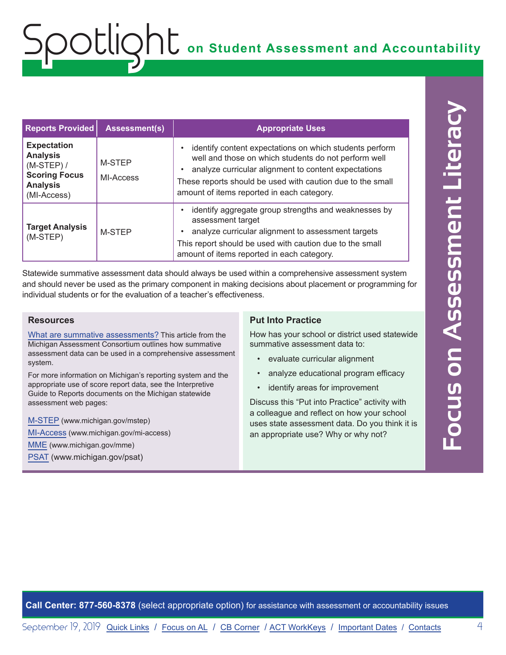| <b>Reports Provided</b>                                                                                         | <b>Assessment(s)</b> | <b>Appropriate Uses</b>                                                                                                                                                                                                                                                                          |
|-----------------------------------------------------------------------------------------------------------------|----------------------|--------------------------------------------------------------------------------------------------------------------------------------------------------------------------------------------------------------------------------------------------------------------------------------------------|
| <b>Expectation</b><br><b>Analysis</b><br>$(M-STEP)$ /<br><b>Scoring Focus</b><br><b>Analysis</b><br>(MI-Access) | M-STEP<br>MI-Access  | identify content expectations on which students perform<br>$\bullet$<br>well and those on which students do not perform well<br>analyze curricular alignment to content expectations<br>These reports should be used with caution due to the small<br>amount of items reported in each category. |
| <b>Target Analysis</b><br>(M-STEP)                                                                              | M-STEP               | identify aggregate group strengths and weaknesses by<br>$\bullet$<br>assessment target<br>analyze curricular alignment to assessment targets<br>This report should be used with caution due to the small<br>amount of items reported in each category.                                           |

Statewide summative assessment data should always be used within a comprehensive assessment system and should never be used as the primary component in making decisions about placement or programming for individual students or for the evaluation of a teacher's effectiveness.

#### **Resources**

[What are summative assessments?](https://www.michiganassessmentconsortium.org/wp-content/uploads/2019_May_WHAT-ARE-SUMMATIVE-ASSESSMENTS3.pdf) This article from the Michigan Assessment Consortium outlines how summative assessment data can be used in a comprehensive assessment system.

For more information on Michigan's reporting system and the appropriate use of score report data, see the Interpretive Guide to Reports documents on the Michigan statewide assessment web pages:

[M-STEP](www.michigan.gov/mstep) (www.michigan.gov/mstep) [MI-Access](http://www.michigan.gov/mi-access) (www.michigan.gov/mi-access) [MME](www.michigan.gov/mme) (www.michigan.gov/mme) [PSAT](http://www.michigan.gov/psat) (www.michigan.gov/psat)

### **Put Into Practice**

How has your school or district used statewide summative assessment data to:

- evaluate curricular alignment
- analyze educational program efficacy
- identify areas for improvement

Discuss this "Put into Practice" activity with a colleague and reflect on how your school uses state assessment data. Do you think it is an appropriate use? Why or why not?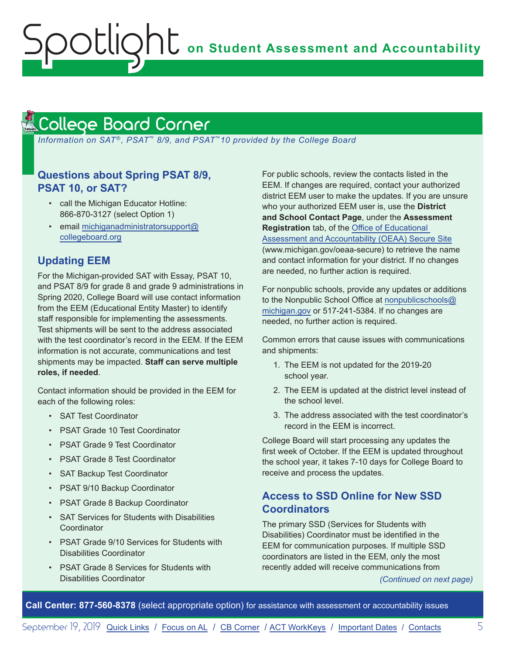# <span id="page-4-1"></span>College Board Corner

<span id="page-4-0"></span>Spotlight

 *Information on SAT*®*, PSAT*™ *8/9, and PSAT*™*10 provided by the College Board*

## **Questions about Spring PSAT 8/9, PSAT 10, or SAT?**

- call the Michigan Educator Hotline: 866-870-3127 (select Option 1)
- email [michiganadministratorsupport@](mailto:michiganadministratorsupport%40collegeboard.org?subject=) [collegeboard.org](mailto:michiganadministratorsupport%40collegeboard.org?subject=)

## **Updating EEM**

For the Michigan-provided SAT with Essay, PSAT 10, and PSAT 8/9 for grade 8 and grade 9 administrations in Spring 2020, College Board will use contact information from the EEM (Educational Entity Master) to identify staff responsible for implementing the assessments. Test shipments will be sent to the address associated with the test coordinator's record in the EEM. If the EEM information is not accurate, communications and test shipments may be impacted. **Staff can serve multiple roles, if needed**.

Contact information should be provided in the EEM for each of the following roles:

- SAT Test Coordinator
- PSAT Grade 10 Test Coordinator
- PSAT Grade 9 Test Coordinator
- PSAT Grade 8 Test Coordinator
- SAT Backup Test Coordinator
- PSAT 9/10 Backup Coordinator
- PSAT Grade 8 Backup Coordinator
- SAT Services for Students with Disabilities **Coordinator**
- PSAT Grade 9/10 Services for Students with Disabilities Coordinator
- PSAT Grade 8 Services for Students with Disabilities Coordinator

For public schools, review the contacts listed in the EEM. If changes are required, contact your authorized district EEM user to make the updates. If you are unsure who your authorized EEM user is, use the **District and School Contact Page**, under the **Assessment Registration** tab, of the [Office of Educational](http://www.michigan.gov/oeaa-secure)  [Assessment and Accountability \(OEAA\) Secure Site](http://www.michigan.gov/oeaa-secure) (www.michigan.gov/oeaa-secure) to retrieve the name and contact information for your district. If no changes are needed, no further action is required.

For nonpublic schools, provide any updates or additions to the Nonpublic School Office at [nonpublicschools@](mailto:nonpublicschools%40michigan.gov?subject=) [michigan.gov](mailto:nonpublicschools%40michigan.gov?subject=) or 517-241-5384. If no changes are needed, no further action is required.

Common errors that cause issues with communications and shipments:

- 1. The EEM is not updated for the 2019-20 school year.
- 2. The EEM is updated at the district level instead of the school level.
- 3. The address associated with the test coordinator's record in the EEM is incorrect.

College Board will start processing any updates the first week of October. If the EEM is updated throughout the school year, it takes 7-10 days for College Board to receive and process the updates.

## **Access to SSD Online for New SSD Coordinators**

The primary SSD (Services for Students with Disabilities) Coordinator must be identified in the EEM for communication purposes. If multiple SSD coordinators are listed in the EEM, only the most recently added will receive communications from

*(Continued on next page)*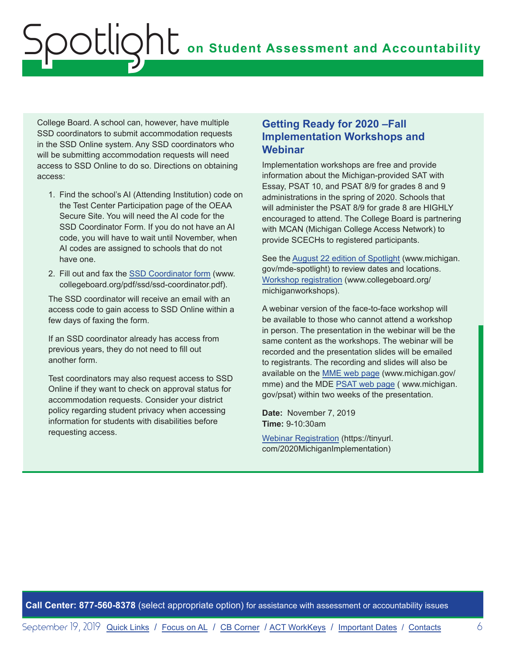College Board. A school can, however, have multiple SSD coordinators to submit accommodation requests in the SSD Online system. Any SSD coordinators who will be submitting accommodation requests will need access to SSD Online to do so. Directions on obtaining access:

- 1. Find the school's AI (Attending Institution) code on the Test Center Participation page of the OEAA Secure Site. You will need the AI code for the SSD Coordinator Form. If you do not have an AI code, you will have to wait until November, when AI codes are assigned to schools that do not have one.
- 2. Fill out and fax the [SSD Coordinator form](http://www.collegeboard.org/pdf/ssd/ssd-coordinator.pdf) (www. collegeboard.org/pdf/ssd/ssd-coordinator.pdf).

The SSD coordinator will receive an email with an access code to gain access to SSD Online within a few days of faxing the form.

If an SSD coordinator already has access from previous years, they do not need to fill out another form.

Test coordinators may also request access to SSD Online if they want to check on approval status for accommodation requests. Consider your district policy regarding student privacy when accessing information for students with disabilities before requesting access.

## **Getting Ready for 2020 –Fall Implementation Workshops and Webinar**

Implementation workshops are free and provide information about the Michigan-provided SAT with Essay, PSAT 10, and PSAT 8/9 for grades 8 and 9 administrations in the spring of 2020. Schools that will administer the PSAT 8/9 for grade 8 are HIGHLY encouraged to attend. The College Board is partnering with MCAN (Michigan College Access Network) to provide SCECHs to registered participants.

See the [August 22 edition of Spotlight](https://www.michigan.gov/documents/mde/Spotlight_8-22-19_664068_7.pdf) (www.michigan. gov/mde-spotlight) to review dates and locations. [Workshop registration](http://www.collegeboard.org/michiganworkshops) (www.collegeboard.org/ michiganworkshops).

A webinar version of the face-to-face workshop will be available to those who cannot attend a workshop in person. The presentation in the webinar will be the same content as the workshops. The webinar will be recorded and the presentation slides will be emailed to registrants. The recording and slides will also be available on the [MME web page](www.michigan.gov/mme) (www.michigan.gov/ mme) and the MDE [PSAT web page](http://www.michigan.gov/psat) ( www.michigan. gov/psat) within two weeks of the presentation.

**Date:** November 7, 2019 **Time:** 9-10:30am

[Webinar Registration](https://tinyurl.com/2020MichiganImplementation) (https://tinyurl. com/2020MichiganImplementation)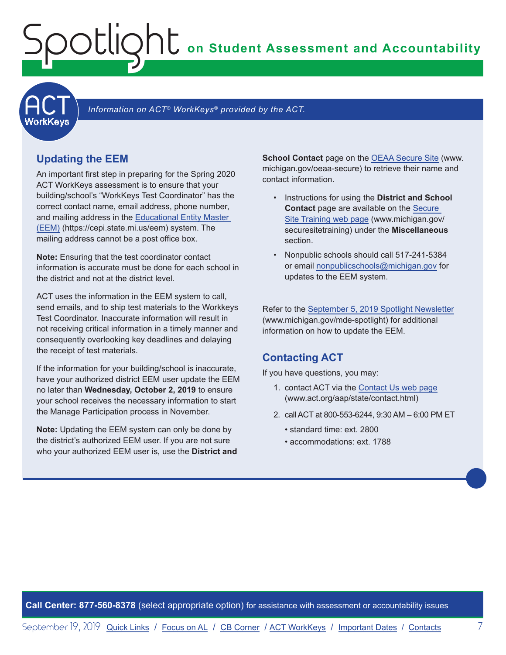**on Student Assessment and Accountability**

<span id="page-6-1"></span>**ACT** 

## Information on ACT<sup>®</sup> WorkKeys<sup>®</sup> provided by the ACT.

### **Updating the EEM**

<span id="page-6-0"></span>Spotlight

An important first step in preparing for the Spring 2020 ACT WorkKeys assessment is to ensure that your building/school's "WorkKeys Test Coordinator" has the correct contact name, email address, phone number, and mailing address in the [Educational Entity Master](www.michigan.gov/EEM)  [\(EEM\)](www.michigan.gov/EEM) (https://cepi.state.mi.us/eem) system. The mailing address cannot be a post office box.

**Note:** Ensuring that the test coordinator contact information is accurate must be done for each school in the district and not at the district level.

ACT uses the information in the EEM system to call, send emails, and to ship test materials to the Workkeys Test Coordinator. Inaccurate information will result in not receiving critical information in a timely manner and consequently overlooking key deadlines and delaying the receipt of test materials.

If the information for your building/school is inaccurate, have your authorized district EEM user update the EEM no later than **Wednesday, October 2, 2019** to ensure your school receives the necessary information to start the Manage Participation process in November.

**Note:** Updating the EEM system can only be done by the district's authorized EEM user. If you are not sure who your authorized EEM user is, use the **District and**  **School Contact** page on the [OEAA Secure Site](http://www.michigan.gov/oeaa-secure) (www. michigan.gov/oeaa-secure) to retrieve their name and contact information.

- Instructions for using the **District and School Contact** page are available on the [Secure](http://www.michigan.gov/securesitetraining)  [Site Training web page](http://www.michigan.gov/securesitetraining) (www.michigan.gov/ securesitetraining) under the **Miscellaneous**  section.
- Nonpublic schools should call 517-241-5384 or email [nonpublicschools@michigan.gov](mailto:nonpublicschools%40michigan.gov?subject=) for updates to the EEM system.

Refer to the [September 5, 2019 Spotlight Newsletter](https://www.michigan.gov/documents/mde/Spotlight_9-5-19_665116_7.pdf) (www.michigan.gov/mde-spotlight) for additional information on how to update the EEM.

## **Contacting ACT**

If you have questions, you may:

- 1. contact ACT via the [Contact Us web page](http://www.act.org/aap/state/contact.html) ([www.act.org/aap/state/contact.html](https://www.act.org/aap/state/contact.html))
- 2. call ACT at 800-553-6244, 9:30 AM 6:00 PM ET
	- standard time: ext. 2800
	- accommodations: ext. 1788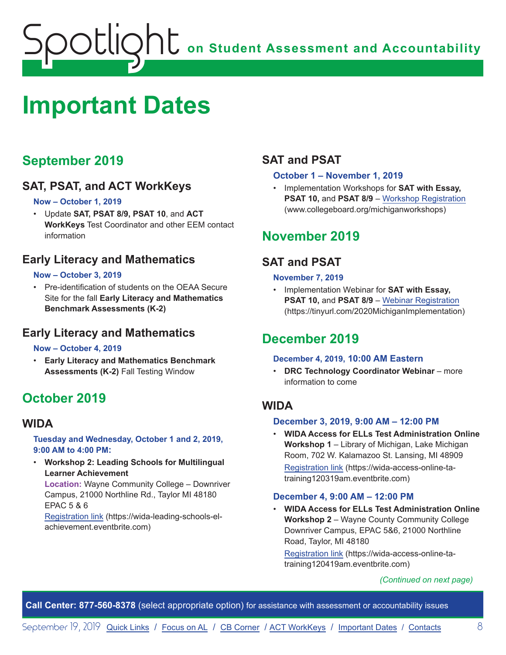# <span id="page-7-1"></span><span id="page-7-0"></span>**Important Dates**

## **September 2019**

## **SAT, PSAT, and ACT WorkKeys**

## **Now – October 1, 2019**

• Update **SAT, PSAT 8/9, PSAT 10**, and **ACT WorkKeys** Test Coordinator and other EEM contact information

## **Early Literacy and Mathematics**

## **Now – October 3, 2019**

Pre-identification of students on the OEAA Secure Site for the fall **Early Literacy and Mathematics Benchmark Assessments (K-2)**

## **Early Literacy and Mathematics**

### **Now – October 4, 2019**

• **Early Literacy and Mathematics Benchmark Assessments (K-2)** Fall Testing Window

# **October 2019**

## **WIDA**

### **Tuesday and Wednesday, October 1 and 2, 2019, 9:00 AM to 4:00 PM:**

• **Workshop 2: Leading Schools for Multilingual Learner Achievement** 

**Location:** Wayne Community College – Downriver Campus, 21000 Northline Rd., Taylor MI 48180 EPAC 5 & 6

[Registration link](https://wida-leading-schools-el-achievement.eventbrite.com) (https://wida-leading-schools-elachievement.eventbrite.com)

## **SAT and PSAT**

## **October 1 – November 1, 2019**

• Implementation Workshops for **SAT with Essay, PSAT 10, and PSAT 8/9 – [Workshop Registration](http://www.collegeboard.org/michiganworkshops)** (www.collegeboard.org/michiganworkshops)

## **November 2019**

## **SAT and PSAT**

## **November 7, 2019**

• Implementation Webinar for **SAT with Essay, PSAT 10,** and **PSAT 8/9** – [Webinar Registration](https://tinyurl.com/2020MichiganImplementation) (https://tinyurl.com/2020MichiganImplementation)

## **December 2019**

### **December 4, 2019, 10:00 AM Eastern**

• **DRC Technology Coordinator Webinar** – more information to come

## **WIDA**

### **December 3, 2019, 9:00 AM – 12:00 PM**

• **WIDA Access for ELLs Test Administration Online Workshop 1** – Library of Michigan, Lake Michigan Room, 702 W. Kalamazoo St. Lansing, MI 48909 [Registration link](https://wida-access-online-ta-training120319am.eventbrite.com) (https://wida-access-online-tatraining120319am.eventbrite.com)

## **December 4, 9:00 AM – 12:00 PM**

• **WIDA Access for ELLs Test Administration Online Workshop 2** – Wayne County Community College Downriver Campus, EPAC 5&6, 21000 Northline Road, Taylor, MI 48180

[Registration link](https://wida-access-online-ta-training120419am.eventbrite.com) (https://wida-access-online-tatraining120419am.eventbrite.com)

### *(Continued on next page)*

**Call Center: 877-560-8378** (select appropriate option) for assistance with assessment or accountability issues

September 19, 2019 [Quick Links](#page-0-0) / [Focus on AL](#page-2-0) / [CB Corner](#page-4-1) / [ACT WorkKeys](#page-6-1) / [Important Dates](#page-7-1) / [Contacts](#page-9-1) 8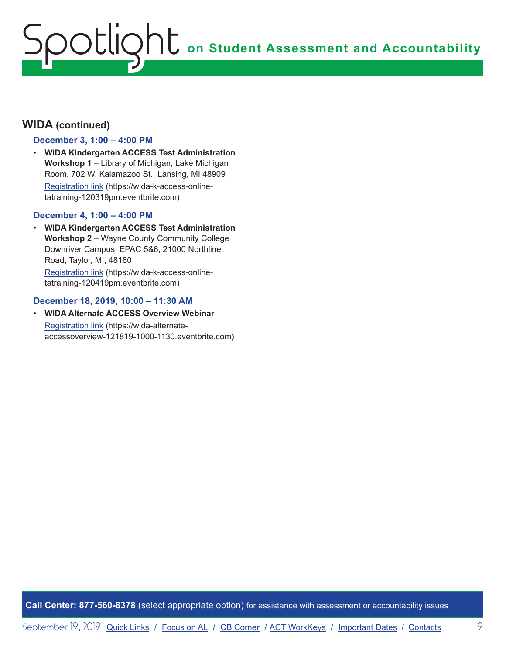## **WIDA (continued)**

### **December 3, 1:00 – 4:00 PM**

• **WIDA Kindergarten ACCESS Test Administration Workshop 1** – Library of Michigan, Lake Michigan Room, 702 W. Kalamazoo St., Lansing, MI 48909 [Registration link](https://wida-k-access-online-tatraining-120319pm.eventbrite.com) (https://wida-k-access-onlinetatraining-120319pm.eventbrite.com)

#### **December 4, 1:00 – 4:00 PM**

• **WIDA Kindergarten ACCESS Test Administration Workshop 2** – Wayne County Community College Downriver Campus, EPAC 5&6, 21000 Northline Road, Taylor, MI, 48180 [Registration link](https://wida-k-access-online-tatraining-120419pm.eventbrite.com) (https://wida-k-access-online-

tatraining-120419pm.eventbrite.com)

#### **December 18, 2019, 10:00 – 11:30 AM**

• **WIDA Alternate ACCESS Overview Webinar** [Registration link](https://wida-alternate-accessoverview-121819-1000-1130.eventbrite.com) (https://wida-alternateaccessoverview-121819-1000-1130.eventbrite.com)